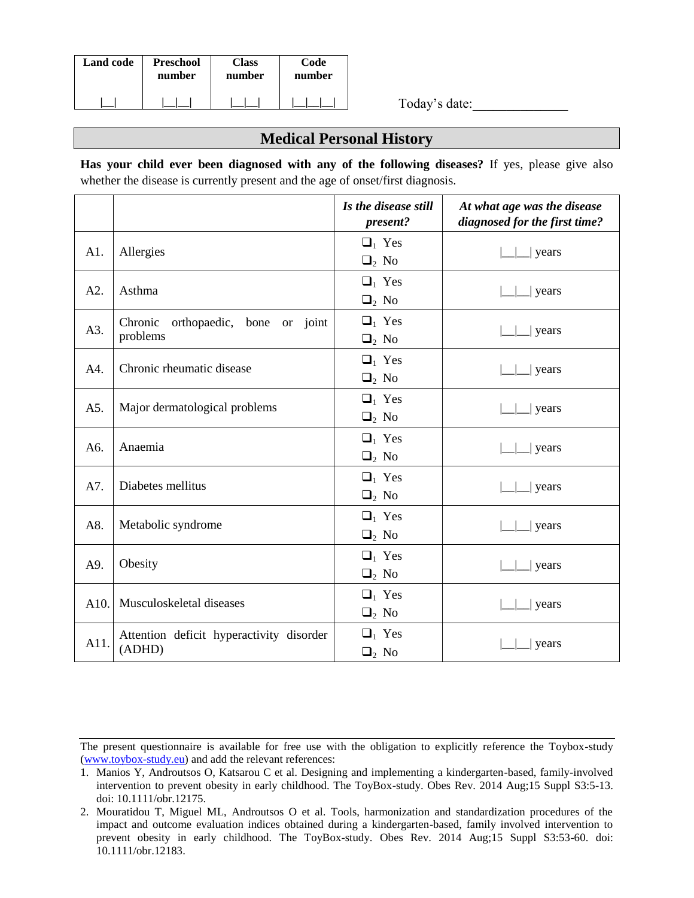| <b>Land code</b> | <b>Preschool</b> | Class  | Code   |
|------------------|------------------|--------|--------|
|                  | number           | number | number |
|                  |                  |        |        |

Today's date:\_\_\_\_\_\_\_\_\_\_\_\_\_\_

## **Medical Personal History**

**Has your child ever been diagnosed with any of the following diseases?** If yes, please give also whether the disease is currently present and the age of onset/first diagnosis.

|      |                                                      | Is the disease still<br>present?  | At what age was the disease<br>diagnosed for the first time? |
|------|------------------------------------------------------|-----------------------------------|--------------------------------------------------------------|
| A1.  | Allergies                                            | $\Box_1$ Yes<br>$\Box_2$ No       | years                                                        |
| A2.  | Asthma                                               | $\Box_1$ Yes<br>$\Box_2$ No       | years                                                        |
| A3.  | orthopaedic, bone<br>Chronic<br>or joint<br>problems | $\Box_1$ Yes<br>$\Box_2$ No       | years                                                        |
| A4.  | Chronic rheumatic disease                            | $\Box_1$ Yes<br>$\Box_2$ No       | years                                                        |
| A5.  | Major dermatological problems                        | $\Box_1$ Yes<br>$\Box_2$ No       | years                                                        |
| A6.  | Anaemia                                              | $\Box_1$ Yes<br>$\Box_2$ No       | years                                                        |
| A7.  | Diabetes mellitus                                    | $\Box_1$ Yes<br>$\Box_2$ No       | years                                                        |
| A8.  | Metabolic syndrome                                   | $\Box_1$ Yes<br>$\Box_2$ No       | years                                                        |
| A9.  | Obesity                                              | $\Box_1$ Yes<br>$\Box_2$ No       | years                                                        |
| A10. | Musculoskeletal diseases                             | $\Box_1$ Yes<br>$\mathbf{u}_2$ No | years                                                        |
| A11. | Attention deficit hyperactivity disorder<br>(ADHD)   | $\Box_1$ Yes<br>$\mathbf{Q}_2$ No | years                                                        |

The present questionnaire is available for free use with the obligation to explicitly reference the Toybox-study (www.toybox-study.eu) and add the relevant references:

<sup>1.</sup> Manios Y, Androutsos O, Katsarou C et al. Designing and implementing a kindergarten-based, family-involved intervention to prevent obesity in early childhood. The ToyBox-study. Obes Rev. 2014 Aug;15 Suppl S3:5-13. doi: 10.1111/obr.12175.

<sup>2.</sup> Mouratidou T, Miguel ML, Androutsos O et al. Tools, harmonization and standardization procedures of the impact and outcome evaluation indices obtained during a kindergarten-based, family involved intervention to prevent obesity in early childhood. The ToyBox-study. Obes Rev. 2014 Aug;15 Suppl S3:53-60. doi: 10.1111/obr.12183.